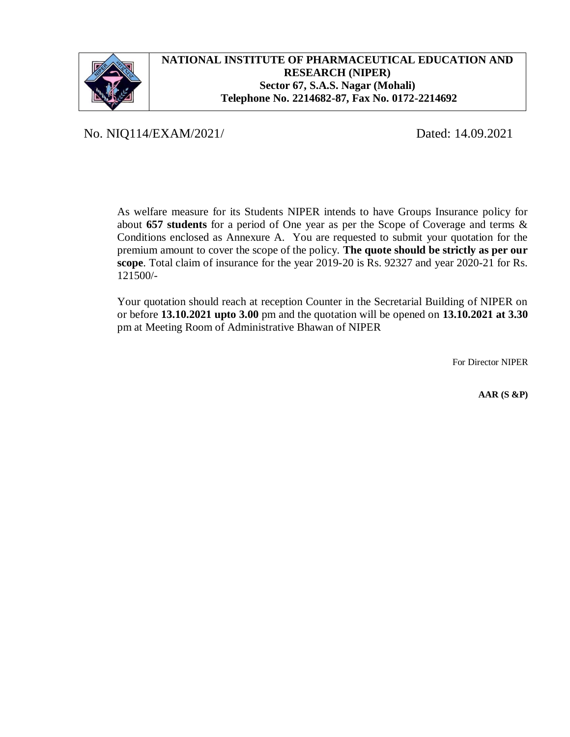

# **NATIONAL INSTITUTE OF PHARMACEUTICAL EDUCATION AND RESEARCH (NIPER) Sector 67, S.A.S. Nagar (Mohali) Telephone No. 2214682-87, Fax No. 0172-2214692**

No. NIQ114/EXAM/2021/ Dated: 14.09.2021

As welfare measure for its Students NIPER intends to have Groups Insurance policy for about **657 students** for a period of One year as per the Scope of Coverage and terms & Conditions enclosed as Annexure A. You are requested to submit your quotation for the premium amount to cover the scope of the policy. **The quote should be strictly as per our scope**. Total claim of insurance for the year 2019-20 is Rs. 92327 and year 2020-21 for Rs. 121500/-

Your quotation should reach at reception Counter in the Secretarial Building of NIPER on or before **13.10.2021 upto 3.00** pm and the quotation will be opened on **13.10.2021 at 3.30** pm at Meeting Room of Administrative Bhawan of NIPER

For Director NIPER

 **AAR (S &P)**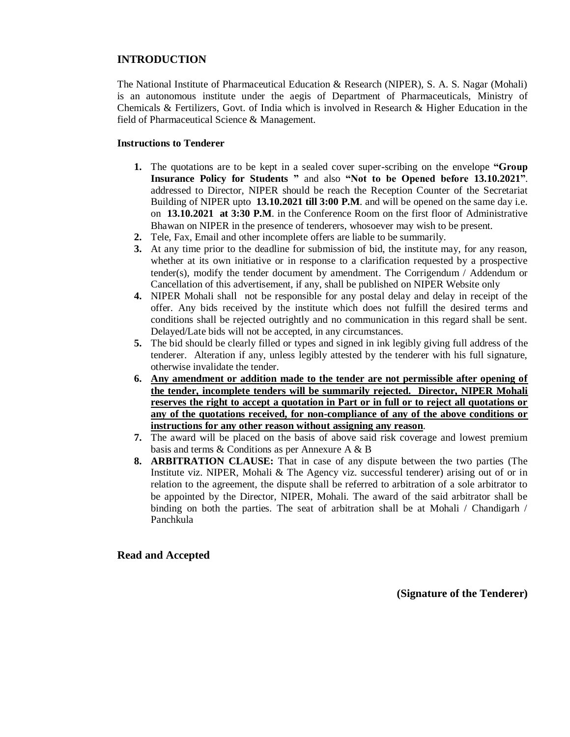## **INTRODUCTION**

The National Institute of Pharmaceutical Education & Research (NIPER), S. A. S. Nagar (Mohali) is an autonomous institute under the aegis of Department of Pharmaceuticals, Ministry of Chemicals & Fertilizers, Govt. of India which is involved in Research & Higher Education in the field of Pharmaceutical Science & Management.

#### **Instructions to Tenderer**

- **1.** The quotations are to be kept in a sealed cover super-scribing on the envelope **"Group Insurance Policy for Students "** and also **"Not to be Opened before 13.10.2021"**. addressed to Director, NIPER should be reach the Reception Counter of the Secretariat Building of NIPER upto **13.10.2021 till 3:00 P.M**. and will be opened on the same day i.e. on **13.10.2021 at 3:30 P.M**. in the Conference Room on the first floor of Administrative Bhawan on NIPER in the presence of tenderers, whosoever may wish to be present.
- **2.** Tele, Fax, Email and other incomplete offers are liable to be summarily.
- **3.** At any time prior to the deadline for submission of bid, the institute may, for any reason, whether at its own initiative or in response to a clarification requested by a prospective tender(s), modify the tender document by amendment. The Corrigendum / Addendum or Cancellation of this advertisement, if any, shall be published on NIPER Website only
- **4.** NIPER Mohali shall not be responsible for any postal delay and delay in receipt of the offer. Any bids received by the institute which does not fulfill the desired terms and conditions shall be rejected outrightly and no communication in this regard shall be sent. Delayed/Late bids will not be accepted, in any circumstances.
- **5.** The bid should be clearly filled or types and signed in ink legibly giving full address of the tenderer. Alteration if any, unless legibly attested by the tenderer with his full signature, otherwise invalidate the tender.
- **6. Any amendment or addition made to the tender are not permissible after opening of the tender, incomplete tenders will be summarily rejected. Director, NIPER Mohali reserves the right to accept a quotation in Part or in full or to reject all quotations or any of the quotations received, for non-compliance of any of the above conditions or instructions for any other reason without assigning any reason**.
- **7.** The award will be placed on the basis of above said risk coverage and lowest premium basis and terms & Conditions as per Annexure A & B
- **8. ARBITRATION CLAUSE:** That in case of any dispute between the two parties (The Institute viz. NIPER, Mohali & The Agency viz. successful tenderer) arising out of or in relation to the agreement, the dispute shall be referred to arbitration of a sole arbitrator to be appointed by the Director, NIPER, Mohali. The award of the said arbitrator shall be binding on both the parties. The seat of arbitration shall be at Mohali / Chandigarh / Panchkula

#### **Read and Accepted**

**(Signature of the Tenderer)**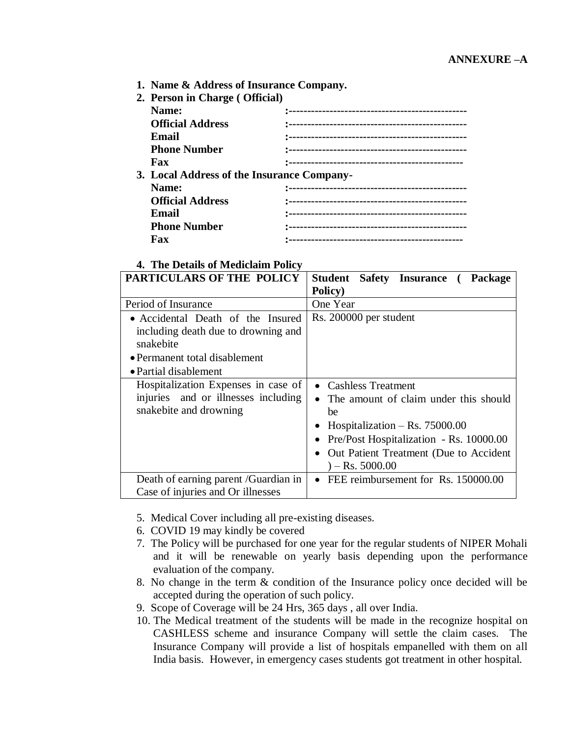**1. Name & Address of Insurance Company.**

| 2. Person in Charge (Official)             |  |  |  |
|--------------------------------------------|--|--|--|
| Name:                                      |  |  |  |
| <b>Official Address</b>                    |  |  |  |
| Email                                      |  |  |  |
| <b>Phone Number</b>                        |  |  |  |
| Fax                                        |  |  |  |
| 3. Local Address of the Insurance Company- |  |  |  |
| Name:                                      |  |  |  |
| <b>Official Address</b>                    |  |  |  |
| Email                                      |  |  |  |
| <b>Phone Number</b>                        |  |  |  |
| Fax                                        |  |  |  |
|                                            |  |  |  |

# **4. The Details of Mediclaim Policy PARTICULARS OF THE POLICY Student Safety Insurance (Package Policy)** Accidental Death of the Insured Rs. 200000 per student

|                                                                                                                                                 | Policy)                                                                                                                                                                                                             |
|-------------------------------------------------------------------------------------------------------------------------------------------------|---------------------------------------------------------------------------------------------------------------------------------------------------------------------------------------------------------------------|
| Period of Insurance                                                                                                                             | One Year                                                                                                                                                                                                            |
| • Accidental Death of the Insured<br>including death due to drowning and<br>snakebite<br>• Permanent total disablement<br>• Partial disablement | Rs. 200000 per student                                                                                                                                                                                              |
| Hospitalization Expenses in case of<br>injuries and or illnesses including<br>snakebite and drowning                                            | • Cashless Treatment<br>The amount of claim under this should<br>be<br>Hospitalization – Rs. $75000.00$<br>• Pre/Post Hospitalization - Rs. 10000.00<br>Out Patient Treatment (Due to Accident<br>$) -$ Rs. 5000.00 |
| Death of earning parent /Guardian in                                                                                                            | • FEE reimbursement for Rs. 150000.00                                                                                                                                                                               |
| Case of injuries and Or illnesses                                                                                                               |                                                                                                                                                                                                                     |

- 5. Medical Cover including all pre-existing diseases.
- 6. COVID 19 may kindly be covered
- 7. The Policy will be purchased for one year for the regular students of NIPER Mohali and it will be renewable on yearly basis depending upon the performance evaluation of the company.
- 8. No change in the term & condition of the Insurance policy once decided will be accepted during the operation of such policy.
- 9. Scope of Coverage will be 24 Hrs, 365 days , all over India.
- 10. The Medical treatment of the students will be made in the recognize hospital on CASHLESS scheme and insurance Company will settle the claim cases. The Insurance Company will provide a list of hospitals empanelled with them on all India basis. However, in emergency cases students got treatment in other hospital.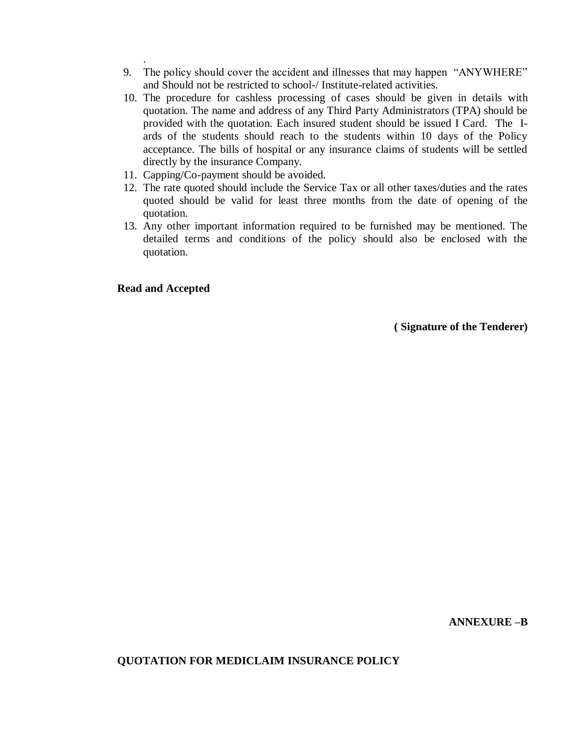- 9. The policy should cover the accident and illnesses that may happen "ANYWHERE" and Should not be restricted to school-/ Institute-related activities.
- 10. The procedure for cashless processing of cases should be given in details with quotation. The name and address of any Third Party Administrators (TPA) should be provided with the quotation. Each insured student should be issued I Card. The Iards of the students should reach to the students within 10 days of the Policy acceptance. The bills of hospital or any insurance claims of students will be settled directly by the insurance Company.
- 11. Capping/Co-payment should be avoided.
- 12. The rate quoted should include the Service Tax or all other taxes/duties and the rates quoted should be valid for least three months from the date of opening of the quotation.
- 13. Any other important information required to be furnished may be mentioned. The detailed terms and conditions of the policy should also be enclosed with the quotation.

**Read and Accepted**

.

**( Signature of the Tenderer)** 

## **QUOTATION FOR MEDICLAIM INSURANCE POLICY**